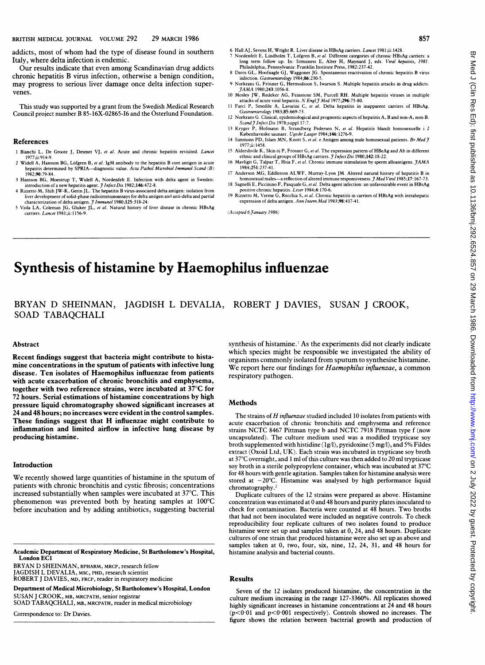addicts, most of whom had the type of disease found in southern Italy, where delta infection is endemic.

Our results indicate that even among Scandinavian drug addicts chronic hepatitis B virus infection, otherwise <sup>a</sup> benign condition, may progress to serious liver damage once delta infection supervenes.

This study was supported by a grant from the Swedish Medical Research Council project number B 85-16X-02865-16 and the Osterlund Foundation.

#### References

- <sup>I</sup> Bianchi L, De Groote J, Desmet Vi, et al. Acute and chronic hepatitis revisited. Lancet 1977;ii:914-9.
- 2 Widell A, Hansson BG, L6fgren B, et al. IgM antibody to the hepatitis B core antigen in acute hepatitis determined by SPRIA--diagnostic value. Acta Pathol Microbiol Immunol Scand (B)<br>1982:90:79-84.
- 1982;90:79-84.<br>3 Hansson BG, Moestrup T, Widell A, Nordenfelt E. Infection with delta agent in Sweden:<br>introduction of a new hepatitis agent. *J Infect Dis* 1982;146:472-8.<br>4 Rizzetto M, Shih JW-K, Gerin JL. The hepatitis
- liver development of solid-phase radioimmunoassays for delta antigen and anti-delta and partial<br>characterization of delta antigen. *J<sup>.</sup> I mmunol* 1980;1<mark>25</mark>:318-24.
- 5 Viola LA, Coleman JG, Gluker JL, et al. Natural history of liver disease in chronic HBsAg carriers. Lancet 1981;ii:1156-9.
- 6 Hall AJ, Sevens H, Wright R. Liver disease in HBsAg carriers. *Lancet* 1981;ii:1428.<br>7 Nordenfelt E, Lindbolm T. J. Sforen. P. at 21. N. C.
- Nordenfelt E, Lindholm T, Löfgren B, et al. Different categories of chronic HBsAg carriers: a long term follow up. In: Szmuness E, Alter H, Maynard J, eds. *Viral hepatitis, 1981.*<br>Philadelphia, Pennsylvania: Franklin Institute Press, 1982:237-42.
- 8 Davis GL, Hoofnagle GJ, Waggoner JG. Spontaneous reactivation of chronic hepatitis B virus infection. *Gastroenterology* 1984;86:230-5.
- 9 Norkrans G, Frösner G, Hermodsson S, Iwarson S. Multiple hepatitis attacks in drug addicts. JAMA 1980;243:1056-8.
- 10 Mosley JW, Redeker AG, Feinstone SM, Purcell RH. Multiple hepatitis viruses in multiple<br>attacks of acute viral hepatitis. *N. Engl J Med* 1977;296:75-80.<br>11 Farci P, Smedile A, Lavarini C, *et al.* Delta hepatitis in i
- 12 Norkrans G. Clinical, epidemiological and prognostic aspects of hepatitis A, B and non-A, non-B.<br>Scand J Infect Dis 1978;suppl 17:7.
- 13 Kryger P, Hofmann B, Strandberg Pedersen N, et al. Hepatitis blandt homosexuelle i 2<br>Københavnske saunaer. Ugeskr Laeger 1984;146:1276-9.
- 14 Simmons PD, Islam MN, Knott S, et al. e Antigen among male homosexual patients. Br Med J 1977;ii: 1458.
- 15 Aldershvile K, Skin öj P, Frösner G, et al. The expression pattern of HBeAg and Ab in different ethnic and clinical groups of HBsAg carriers. *J Infect Dis* 1980;142:18-22.<br>16 Mavligit G, Talpaz T, Hsia F, *et al.* Chronic immune stimulation by sperm alloantigens. *JAMA*<br>1984;251:237-41.
- Anderson MG, Eddleston ALWF, Murray-Lyon JM. Altered natural history of hepatitis B in
- homosexual males—a reflection of altered immune responsiveness. *J Med Virol* 1985;17:167-73.<br>18 Sagnelli E, Piccinino F, Pasquale G, *et al.* Delta agent infection: an unfavourable event in HBsAg
- positive chronic hepatitis. *Live*r 1984;4:170-6.<br>19 Rizzetto M, Verme G, Recchia S, *et al*. Chronic hepatitis in carriers of HBsAg with intrahepatic expression of delta antigen. Ann Intern Med 1983;98:437-41.

(Accepted 6 January 1986)

# Synthesis of histamine by Haemophilus influenzae

# BRYAN D SHEINMAN, JAGDISH L DEVALIA, ROBERT <sup>J</sup> DAVIES, SUSAN <sup>J</sup> CROOK, SOAD TABAQCHALI

#### Abstract

Recent findings suggest that bacteria might contribute to histamine concentrations in the sputum of patients with infective lung disease. Ten isolates of Haemophilus influenzae from patients with acute exacerbation of chronic bronchitis and emphysema, together with two reference strains, were incubated at 37°C for 72 hours. Serial estimations of histamine concentrations by high pressure liquid chromatography showed significant increases at 24 and 48 hours; no increases were evident in the control samples. These findings suggest that H influenzae might contribute to inflammation and limited airflow in infective lung disease by producing histamine.

### Introduction

We recently showed large quantities of histamine in the sputum of patients with chronic bronchitis and cystic fibrosis; concentrations increased substantially when samples were incubated at 37°C. This phenomenon was prevented both by heating samples at 100°C before incubation and by adding antibiotics, suggesting bacterial

Academic Department of Respiratory Medicine, St Bartholomew's Hospital, London EC1

BRYAN D SHEINMAN, BPHARM, MRCP, research fellow JAGDISH L DEVALIA, MSC, PHD, research scientist ROBERT J DAVIES, MD, FRCP, reader in respiratory medicine

Department of Medical Microbiology, St Bartholomew's Hospital, London SUSAN J CROOK, MB, MRCPATH, senior registrar

SOAD TABAQCHALI, MB, MRCPATH, reader in medical microbiology

Correspondence to: Dr Davies.

synthesis of histamine.<sup>1</sup> As the experiments did not clearly indicate which species might be responsible we investigated the ability of organisms commonly isolated from sputum to synthesise histamine. We report here our findings for Haemophilus influenzae, a common respiratory pathogen.

#### Methods

The strains of  $H$  influenzae studied included 10 isolates from patients with acute exacerbation of chronic bronchitis and emphysema and reference strains NCTC <sup>8467</sup> Pittman type <sup>b</sup> and NCTC <sup>7918</sup> Pittman type <sup>f</sup> (now uncapsulated).. The culture medium used was <sup>a</sup> modified trypticase soy broth supplemented with histidine  $(1g/l)$ , pyridoxine (5 mg/l), and 5% Fildes extract (Oxoid Ltd, UK). Each strain was incubated in trypticase soy broth at 37°C overnight, and 1 ml of this culture was then added to 20 ml trypticase soy broth in a sterile polypropylene container, which was incubated at 37°C for 48 hours with gentle agitation. Samples taken for histamine analysis were stored at  $-20^{\circ}$ C. Histamine was analysed by high performance liquid chromatography.'

Duplicate cultures of the 12 strains were prepared as above. Histamine concentration was estimated at 0 and 48 hours and purity plates inoculated to check for contamination. Bacteria were counted at 48 hours. Two broths that had not been inoculated were included as negative controls. To check reproducibility four replicate cultures of two isolates found to produce histamine were set up and samples taken at 0, 24, and 48 hours. Duplicate cultures of one strain that produced histamine were also set up as above and samples taken at 0, two, four, six, nine, 12, 24, 31, and 48 hours for histamine analysis and bacterial counts.

#### Results

Seven of the 12 isolates produced histamine, the concentration in the culture medium increasing in the range 127-3360%. All replicates showed highly significant increases in histamine concentrations at 24 and 48 hours  $(p<0.01$  and  $p<0.001$  respectively). Controls showed no increases. The figure shows the relation between bacterial growth and production of